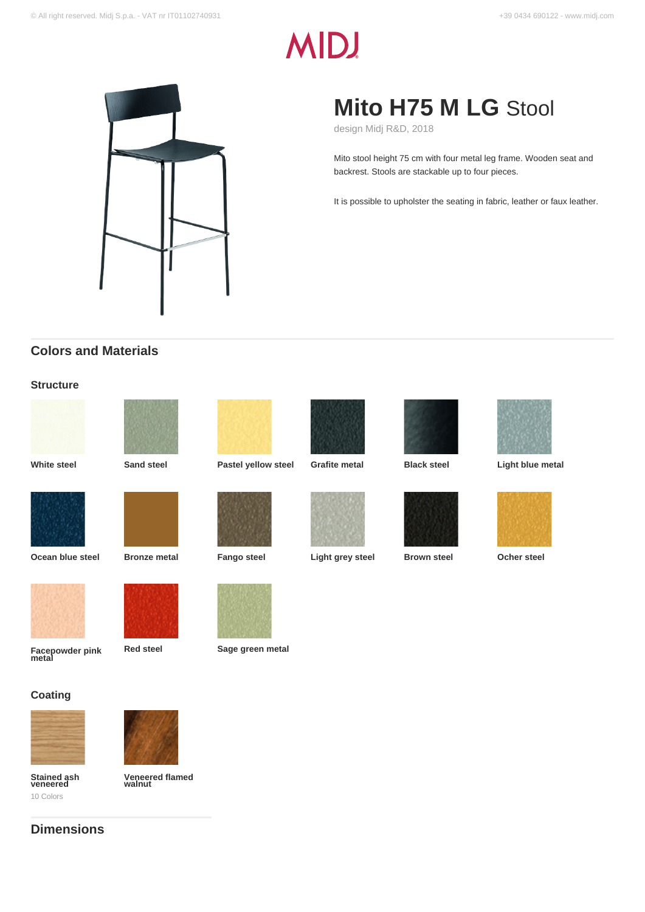# **MIDJ**



# **Mito H75 M LG** Stool

design Midj R&D, 2018

Mito stool height 75 cm with four metal leg frame. Wooden seat and backrest. Stools are stackable up to four pieces.

It is possible to upholster the seating in fabric, leather or faux leather.

# **Colors and Materials**

#### **Structure**































**Facepowder pink metal**







### **Coating**





**Veneered flamed walnut**







**Red steel Sage green metal**

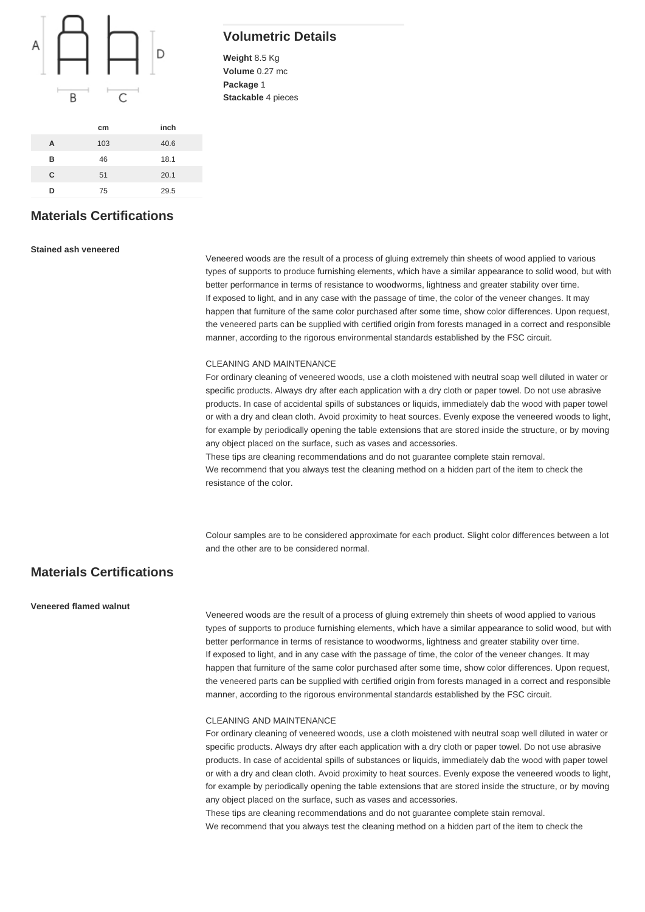

**cm inch**

# **Volumetric Details**

**Weight** 8.5 Kg **Volume** 0.27 mc **Package** 1 **Stackable** 4 pieces

# **Materials Certifications**

**A** 103 40.6 **B** 46 18.1 **C** 51 20.1 **D** 75 29.5

#### **Stained ash veneered**

Veneered woods are the result of a process of gluing extremely thin sheets of wood applied to various types of supports to produce furnishing elements, which have a similar appearance to solid wood, but with better performance in terms of resistance to woodworms, lightness and greater stability over time. If exposed to light, and in any case with the passage of time, the color of the veneer changes. It may happen that furniture of the same color purchased after some time, show color differences. Upon request, the veneered parts can be supplied with certified origin from forests managed in a correct and responsible manner, according to the rigorous environmental standards established by the FSC circuit.

#### CLEANING AND MAINTENANCE

For ordinary cleaning of veneered woods, use a cloth moistened with neutral soap well diluted in water or specific products. Always dry after each application with a dry cloth or paper towel. Do not use abrasive products. In case of accidental spills of substances or liquids, immediately dab the wood with paper towel or with a dry and clean cloth. Avoid proximity to heat sources. Evenly expose the veneered woods to light, for example by periodically opening the table extensions that are stored inside the structure, or by moving any object placed on the surface, such as vases and accessories.

These tips are cleaning recommendations and do not guarantee complete stain removal.

We recommend that you always test the cleaning method on a hidden part of the item to check the resistance of the color.

Colour samples are to be considered approximate for each product. Slight color differences between a lot and the other are to be considered normal.

#### **Materials Certifications**

#### **Veneered flamed walnut**

Veneered woods are the result of a process of gluing extremely thin sheets of wood applied to various types of supports to produce furnishing elements, which have a similar appearance to solid wood, but with better performance in terms of resistance to woodworms, lightness and greater stability over time. If exposed to light, and in any case with the passage of time, the color of the veneer changes. It may happen that furniture of the same color purchased after some time, show color differences. Upon request, the veneered parts can be supplied with certified origin from forests managed in a correct and responsible manner, according to the rigorous environmental standards established by the FSC circuit.

#### CLEANING AND MAINTENANCE

For ordinary cleaning of veneered woods, use a cloth moistened with neutral soap well diluted in water or specific products. Always dry after each application with a dry cloth or paper towel. Do not use abrasive products. In case of accidental spills of substances or liquids, immediately dab the wood with paper towel or with a dry and clean cloth. Avoid proximity to heat sources. Evenly expose the veneered woods to light, for example by periodically opening the table extensions that are stored inside the structure, or by moving any object placed on the surface, such as vases and accessories.

These tips are cleaning recommendations and do not guarantee complete stain removal. We recommend that you always test the cleaning method on a hidden part of the item to check the